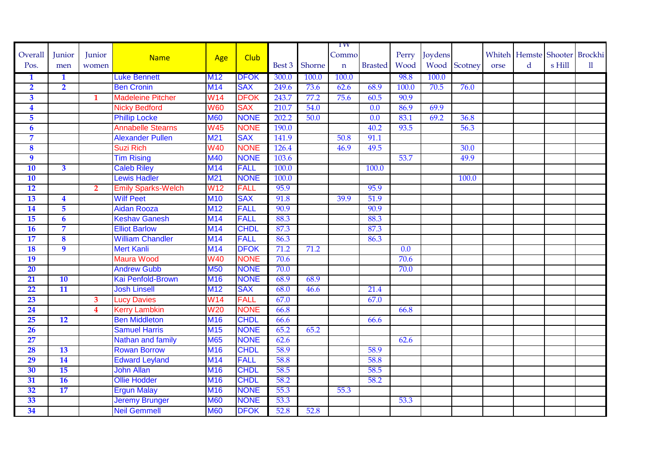|                         |                         |                         |                           |                 |             |        |        | 1W          |                |                  |         |              |      |   |        |                               |
|-------------------------|-------------------------|-------------------------|---------------------------|-----------------|-------------|--------|--------|-------------|----------------|------------------|---------|--------------|------|---|--------|-------------------------------|
| Overall                 | Junior                  | Junior                  | <b>Name</b>               | Age             | <b>Club</b> |        |        | Commo       |                | Perry            | Joydens |              |      |   |        | Whiteh Hemste Shooter Brockhi |
| Pos.                    | men                     | women                   |                           |                 |             | Best 3 | Shorne | $\mathbf n$ | <b>Brasted</b> | Wood             |         | Wood Scotney | orse | d | s Hill | $\mathbf{ll}$                 |
| $\mathbf{1}$            | $\mathbf{1}$            |                         | <b>Luke Bennett</b>       | <b>M12</b>      | <b>DFOK</b> | 300.0  | 100.0  | 100.0       |                | 98.8             | 100.0   |              |      |   |        |                               |
| $\overline{2}$          | $\overline{2}$          |                         | <b>Ben Cronin</b>         | M14             | <b>SAX</b>  | 249.6  | 73.6   | 62.6        | 68.9           | 100.0            | 70.5    | 76.0         |      |   |        |                               |
| $\overline{\mathbf{3}}$ |                         | $\mathbf{1}$            | <b>Madeleine Pitcher</b>  | <b>W14</b>      | <b>DFOK</b> | 243.7  | 77.2   | 75.6        | 60.5           | 90.9             |         |              |      |   |        |                               |
| $\overline{\mathbf{4}}$ |                         |                         | <b>Nicky Bedford</b>      | <b>W60</b>      | <b>SAX</b>  | 210.7  | 54.0   |             | 0.0            | 86.9             | 69.9    |              |      |   |        |                               |
| $\overline{5}$          |                         |                         | <b>Phillip Locke</b>      | <b>M60</b>      | <b>NONE</b> | 202.2  | 50.0   |             | 0.0            | 83.1             | 69.2    | 36.8         |      |   |        |                               |
| $\overline{\mathbf{6}}$ |                         |                         | <b>Annabelle Stearns</b>  | <b>W45</b>      | <b>NONE</b> | 190.0  |        |             | 40.2           | 93.5             |         | 56.3         |      |   |        |                               |
| $\overline{7}$          |                         |                         | <b>Alexander Pullen</b>   | M21             | <b>SAX</b>  | 141.9  |        | 50.8        | 91.1           |                  |         |              |      |   |        |                               |
| $\overline{\mathbf{8}}$ |                         |                         | Suzi Rich                 | W40             | <b>NONE</b> | 126.4  |        | 46.9        | 49.5           |                  |         | 30.0         |      |   |        |                               |
| $\overline{9}$          |                         |                         | <b>Tim Rising</b>         | <b>M40</b>      | <b>NONE</b> | 103.6  |        |             |                | 53.7             |         | 49.9         |      |   |        |                               |
| <b>10</b>               | $\overline{\mathbf{3}}$ |                         | <b>Caleb Riley</b>        | <b>M14</b>      | <b>FALL</b> | 100.0  |        |             | 100.0          |                  |         |              |      |   |        |                               |
| 10                      |                         |                         | <b>Lewis Hadler</b>       | M <sub>21</sub> | <b>NONE</b> | 100.0  |        |             |                |                  |         | 100.0        |      |   |        |                               |
| 12                      |                         | $\overline{2}$          | <b>Emily Sparks-Welch</b> | W <sub>12</sub> | <b>FALL</b> | 95.9   |        |             | 95.9           |                  |         |              |      |   |        |                               |
| <b>13</b>               | 4                       |                         | <b>Wilf Peet</b>          | <b>M10</b>      | <b>SAX</b>  | 91.8   |        | 39.9        | 51.9           |                  |         |              |      |   |        |                               |
| 14                      | 5                       |                         | Aidan Rooza               | <b>M12</b>      | <b>FALL</b> | 90.9   |        |             | 90.9           |                  |         |              |      |   |        |                               |
| 15                      | $\boldsymbol{6}$        |                         | <b>Keshav Ganesh</b>      | <b>M14</b>      | <b>FALL</b> | 88.3   |        |             | 88.3           |                  |         |              |      |   |        |                               |
| 16                      | 7                       |                         | <b>Elliot Barlow</b>      | M14             | <b>CHDL</b> | 87.3   |        |             | 87.3           |                  |         |              |      |   |        |                               |
| 17                      | $\boldsymbol{8}$        |                         | <b>William Chandler</b>   | M14             | <b>FALL</b> | 86.3   |        |             | 86.3           |                  |         |              |      |   |        |                               |
| <b>18</b>               | $\overline{9}$          |                         | Mert Kanli                | <b>M14</b>      | <b>DFOK</b> | 71.2   | 71.2   |             |                | $\overline{0.0}$ |         |              |      |   |        |                               |
| <b>19</b>               |                         |                         | Maura Wood                | <b>W40</b>      | <b>NONE</b> | 70.6   |        |             |                | 70.6             |         |              |      |   |        |                               |
| 20                      |                         |                         | <b>Andrew Gubb</b>        | <b>M50</b>      | <b>NONE</b> | 70.0   |        |             |                | 70.0             |         |              |      |   |        |                               |
| 21                      | <b>10</b>               |                         | Kai Penfold-Brown         | <b>M16</b>      | <b>NONE</b> | 68.9   | 68.9   |             |                |                  |         |              |      |   |        |                               |
| 22                      | 11                      |                         | <b>Josh Linsell</b>       | <b>M12</b>      | <b>SAX</b>  | 68.0   | 46.6   |             | 21.4           |                  |         |              |      |   |        |                               |
| 23                      |                         | $\mathbf{3}$            | <b>Lucy Davies</b>        | <b>W14</b>      | <b>FALL</b> | 67.0   |        |             | 67.0           |                  |         |              |      |   |        |                               |
| 24                      |                         | $\overline{\mathbf{4}}$ | <b>Kerry Lambkin</b>      | W <sub>20</sub> | <b>NONE</b> | 66.8   |        |             |                | 66.8             |         |              |      |   |        |                               |
| 25                      | 12                      |                         | <b>Ben Middleton</b>      | <b>M16</b>      | <b>CHDL</b> | 66.6   |        |             | 66.6           |                  |         |              |      |   |        |                               |
| 26                      |                         |                         | <b>Samuel Harris</b>      | <b>M15</b>      | <b>NONE</b> | 65.2   | 65.2   |             |                |                  |         |              |      |   |        |                               |
| 27                      |                         |                         | Nathan and family         | <b>M65</b>      | <b>NONE</b> | 62.6   |        |             |                | 62.6             |         |              |      |   |        |                               |
| 28                      | 13                      |                         | <b>Rowan Borrow</b>       | <b>M16</b>      | <b>CHDL</b> | 58.9   |        |             | 58.9           |                  |         |              |      |   |        |                               |
| 29                      | 14                      |                         | <b>Edward Leyland</b>     | <b>M14</b>      | <b>FALL</b> | 58.8   |        |             | 58.8           |                  |         |              |      |   |        |                               |
| 30                      | 15                      |                         | <b>John Allan</b>         | <b>M16</b>      | <b>CHDL</b> | 58.5   |        |             | 58.5           |                  |         |              |      |   |        |                               |
| 31                      | <b>16</b>               |                         | <b>Ollie Hodder</b>       | <b>M16</b>      | <b>CHDL</b> | 58.2   |        |             | 58.2           |                  |         |              |      |   |        |                               |
| 32                      | 17                      |                         | <b>Ergun Malay</b>        | <b>M16</b>      | <b>NONE</b> | 55.3   |        | 55.3        |                |                  |         |              |      |   |        |                               |
| 33                      |                         |                         | <b>Jeremy Brunger</b>     | <b>M60</b>      | <b>NONE</b> | 53.3   |        |             |                | 53.3             |         |              |      |   |        |                               |
| 34                      |                         |                         | <b>Neil Gemmell</b>       | <b>M60</b>      | <b>DFOK</b> | 52.8   | 52.8   |             |                |                  |         |              |      |   |        |                               |